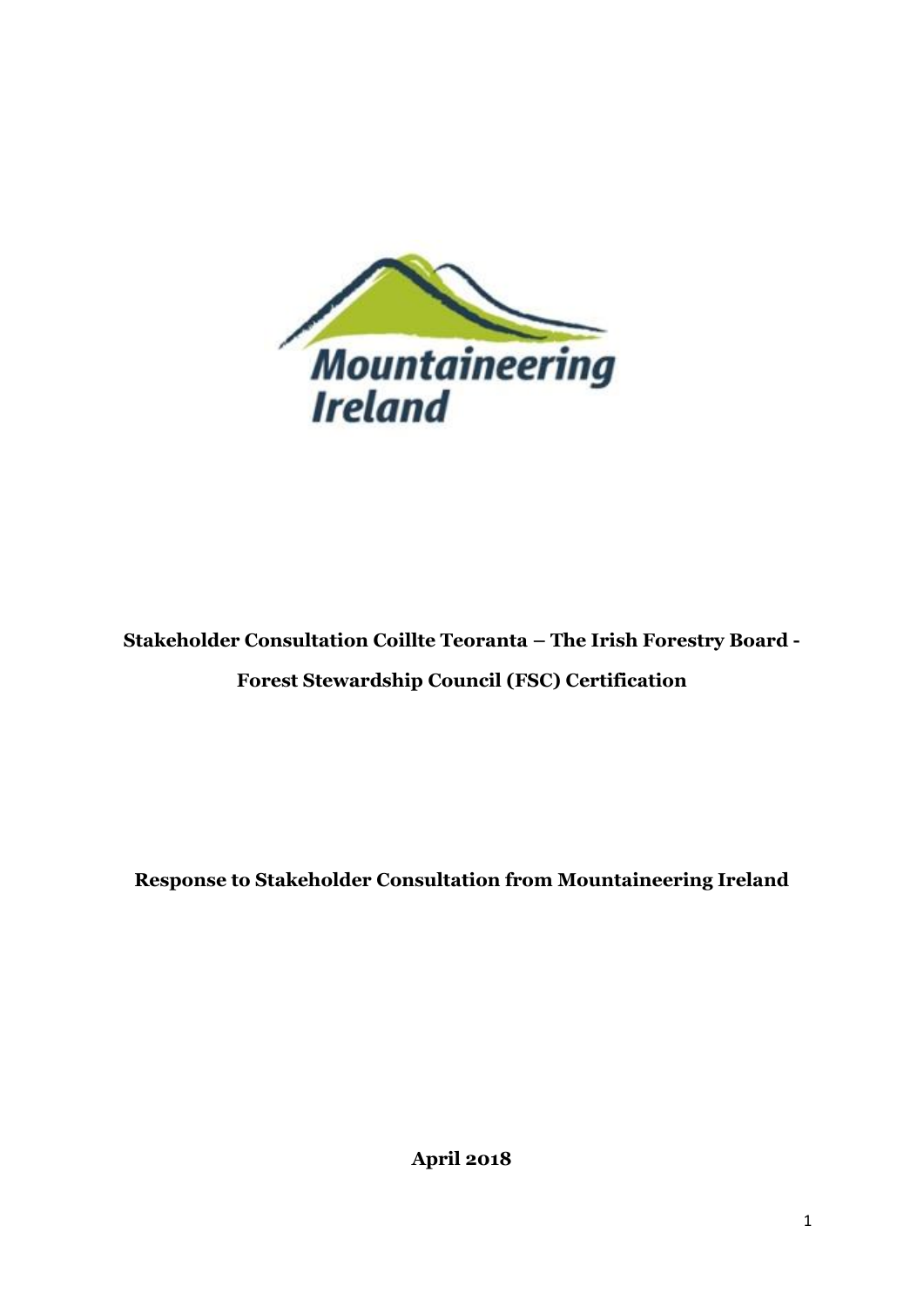

Stakeholder Consultation Coillte Teoranta - The Irish Forestry Board -**Forest Stewardship Council (FSC) Certification** 

Response to Stakeholder Consultation from Mountaineering Ireland

**April 2018**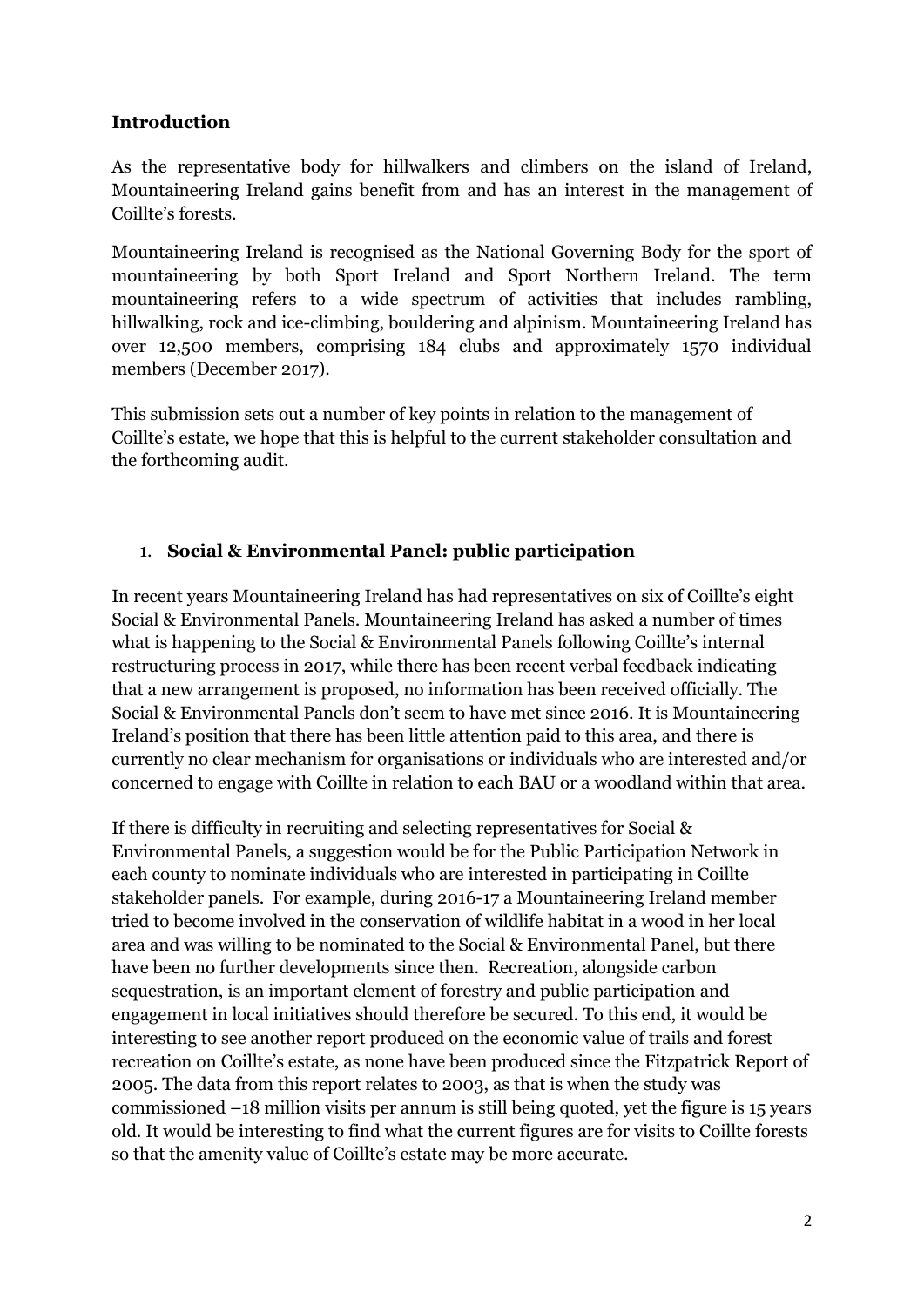#### **Introduction**

As the representative body for hillwalkers and climbers on the island of Ireland, Mountaineering Ireland gains benefit from and has an interest in the management of Coillte's forests.

Mountaineering Ireland is recognised as the National Governing Body for the sport of mountaineering by both Sport Ireland and Sport Northern Ireland. The term mountaineering refers to a wide spectrum of activities that includes rambling, hillwalking, rock and ice-climbing, bouldering and alpinism. Mountaineering Ireland has over 12,500 members, comprising 184 clubs and approximately 1570 individual members (December 2017).

This submission sets out a number of key points in relation to the management of Coillte's estate, we hope that this is helpful to the current stakeholder consultation and the forthcoming audit.

### 1. **Social & Environmental Panel: public participation**

In recent years Mountaineering Ireland has had representatives on six of Coillte's eight Social & Environmental Panels. Mountaineering Ireland has asked a number of times what is happening to the Social & Environmental Panels following Coillte's internal restructuring process in 2017, while there has been recent verbal feedback indicating that a new arrangement is proposed, no information has been received officially. The Social & Environmental Panels don't seem to have met since 2016. It is Mountaineering Ireland's position that there has been little attention paid to this area, and there is currently no clear mechanism for organisations or individuals who are interested and/or concerned to engage with Coillte in relation to each BAU or a woodland within that area.

If there is difficulty in recruiting and selecting representatives for Social & Environmental Panels, a suggestion would be for the Public Participation Network in each county to nominate individuals who are interested in participating in Coillte stakeholder panels. For example, during 2016-17 a Mountaineering Ireland member tried to become involved in the conservation of wildlife habitat in a wood in her local area and was willing to be nominated to the Social & Environmental Panel, but there have been no further developments since then. Recreation, alongside carbon sequestration, is an important element of forestry and public participation and engagement in local initiatives should therefore be secured. To this end, it would be interesting to see another report produced on the economic value of trails and forest recreation on Coillte's estate, as none have been produced since the Fitzpatrick Report of 2005. The data from this report relates to 2003, as that is when the study was commissioned –18 million visits per annum is still being quoted, yet the figure is 15 years old. It would be interesting to find what the current figures are for visits to Coillte forests so that the amenity value of Coillte's estate may be more accurate.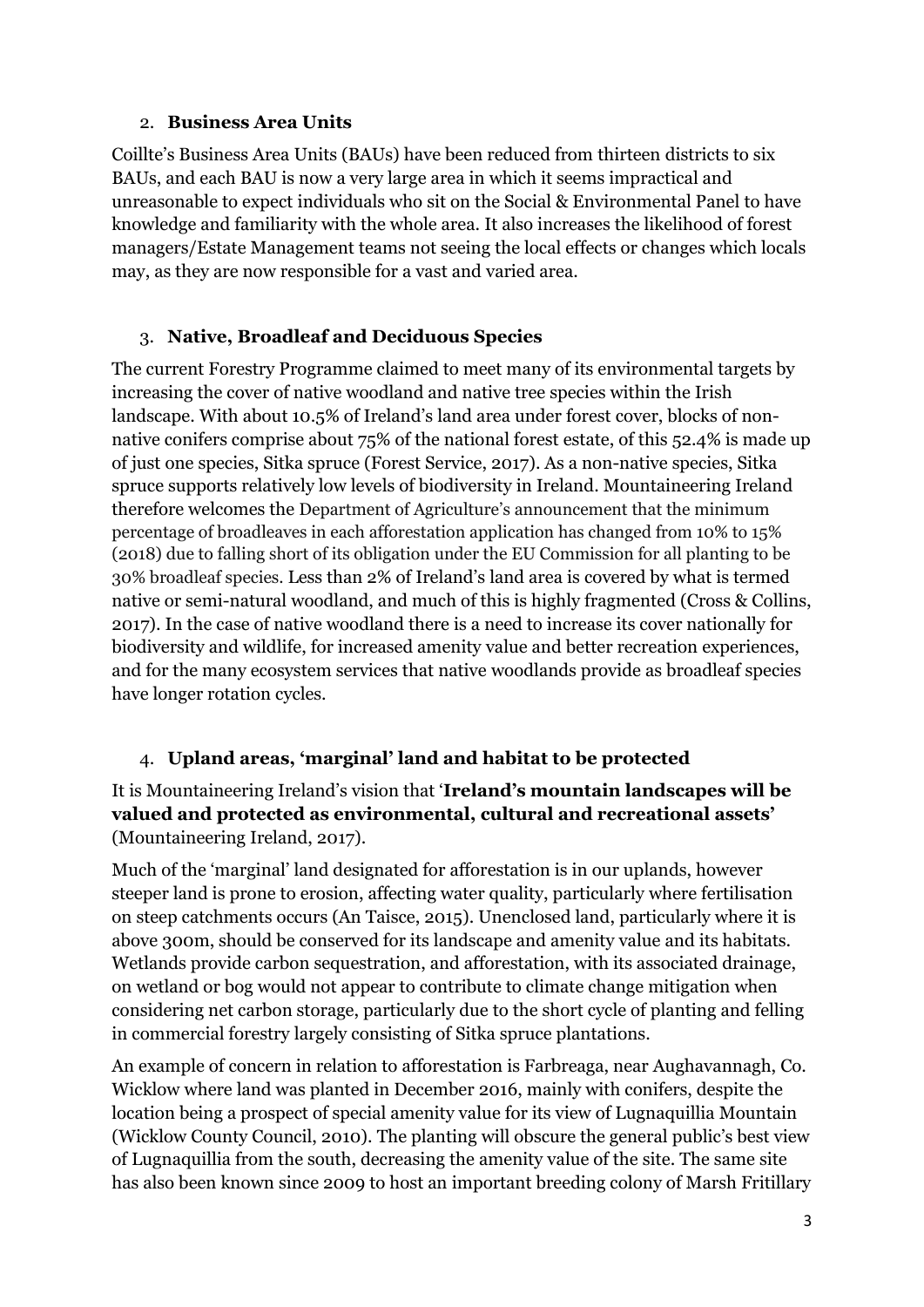#### 2. **Business Area Units**

Coillte's Business Area Units (BAUs) have been reduced from thirteen districts to six BAUs, and each BAU is now a very large area in which it seems impractical and unreasonable to expect individuals who sit on the Social & Environmental Panel to have knowledge and familiarity with the whole area. It also increases the likelihood of forest managers/Estate Management teams not seeing the local effects or changes which locals may, as they are now responsible for a vast and varied area.

### 3. **Native, Broadleaf and Deciduous Species**

The current Forestry Programme claimed to meet many of its environmental targets by increasing the cover of native woodland and native tree species within the Irish landscape. With about 10.5% of Ireland's land area under forest cover, blocks of nonnative conifers comprise about 75% of the national forest estate, of this 52.4% is made up of just one species, Sitka spruce (Forest Service, 2017). As a non-native species, Sitka spruce supports relatively low levels of biodiversity in Ireland. Mountaineering Ireland therefore welcomes the Department of Agriculture's announcement that the minimum percentage of broadleaves in each afforestation application has changed from 10% to 15% (2018) due to falling short of its obligation under the EU Commission for all planting to be 30% broadleaf species. Less than 2% of Ireland's land area is covered by what is termed native or semi-natural woodland, and much of this is highly fragmented (Cross & Collins, 2017). In the case of native woodland there is a need to increase its cover nationally for biodiversity and wildlife, for increased amenity value and better recreation experiences, and for the many ecosystem services that native woodlands provide as broadleaf species have longer rotation cycles.

# 4. **Upland areas, 'marginal' land and habitat to be protected**

## It is Mountaineering Ireland's vision that '**Ireland's mountain landscapes will be valued and protected as environmental, cultural and recreational assets'** (Mountaineering Ireland, 2017).

Much of the 'marginal' land designated for afforestation is in our uplands, however steeper land is prone to erosion, affecting water quality, particularly where fertilisation on steep catchments occurs (An Taisce, 2015). Unenclosed land, particularly where it is above 300m, should be conserved for its landscape and amenity value and its habitats. Wetlands provide carbon sequestration, and afforestation, with its associated drainage, on wetland or bog would not appear to contribute to climate change mitigation when considering net carbon storage, particularly due to the short cycle of planting and felling in commercial forestry largely consisting of Sitka spruce plantations.

An example of concern in relation to afforestation is Farbreaga, near Aughavannagh, Co. Wicklow where land was planted in December 2016, mainly with conifers, despite the location being a prospect of special amenity value for its view of Lugnaquillia Mountain (Wicklow County Council, 2010). The planting will obscure the general public's best view of Lugnaquillia from the south, decreasing the amenity value of the site. The same site has also been known since 2009 to host an important breeding colony of Marsh Fritillary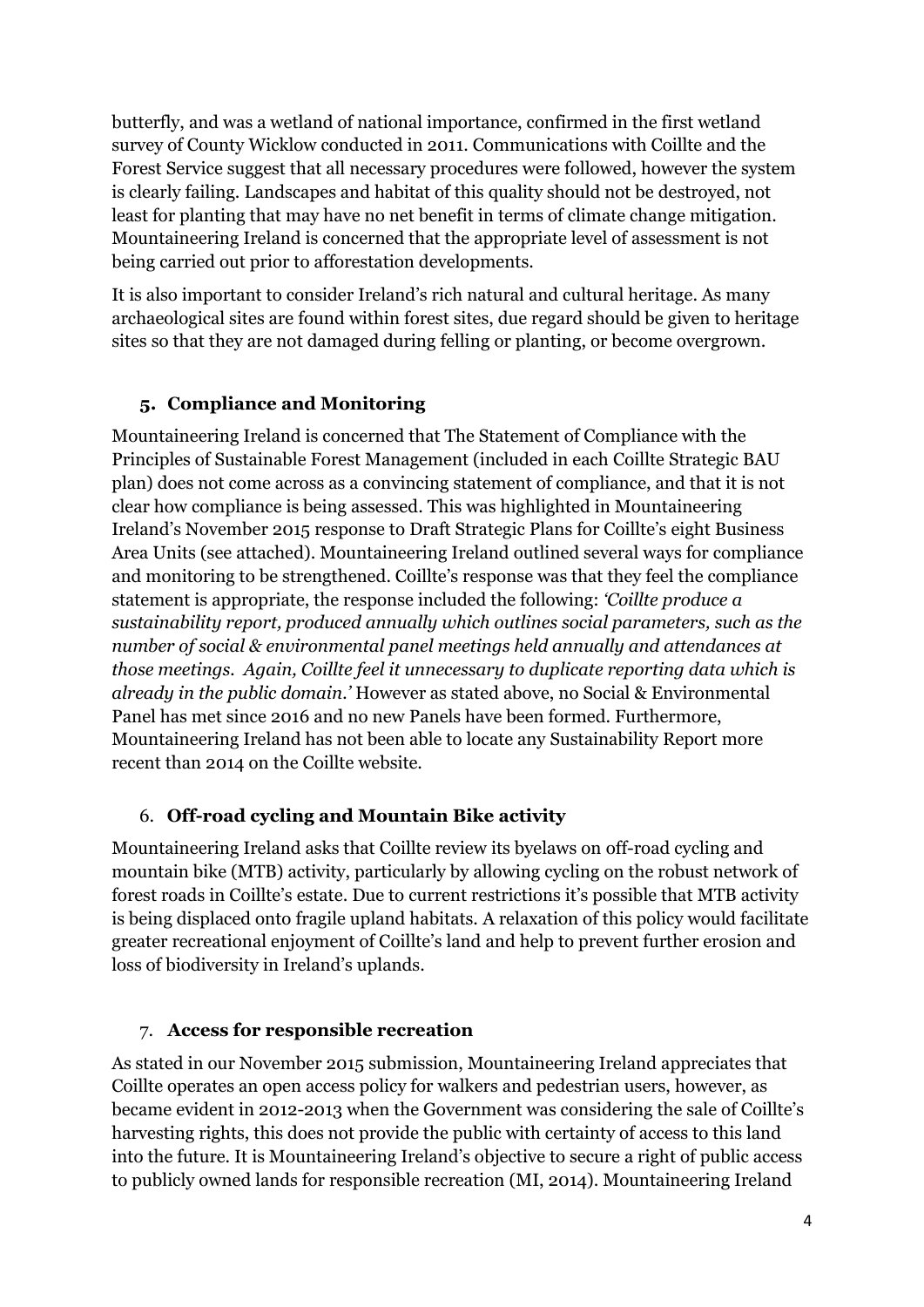butterfly, and was a wetland of national importance, confirmed in the first wetland survey of County Wicklow conducted in 2011. Communications with Coillte and the Forest Service suggest that all necessary procedures were followed, however the system is clearly failing. Landscapes and habitat of this quality should not be destroyed, not least for planting that may have no net benefit in terms of climate change mitigation. Mountaineering Ireland is concerned that the appropriate level of assessment is not being carried out prior to afforestation developments.

It is also important to consider Ireland's rich natural and cultural heritage. As many archaeological sites are found within forest sites, due regard should be given to heritage sites so that they are not damaged during felling or planting, or become overgrown.

# **5. Compliance and Monitoring**

Mountaineering Ireland is concerned that The Statement of Compliance with the Principles of Sustainable Forest Management (included in each Coillte Strategic BAU plan) does not come across as a convincing statement of compliance, and that it is not clear how compliance is being assessed. This was highlighted in Mountaineering Ireland's November 2015 response to Draft Strategic Plans for Coillte's eight Business Area Units (see attached). Mountaineering Ireland outlined several ways for compliance and monitoring to be strengthened. Coillte's response was that they feel the compliance statement is appropriate, the response included the following: *'Coillte produce a sustainability report, produced annually which outlines social parameters, such as the number of social & environmental panel meetings held annually and attendances at those meetings. Again, Coillte feel it unnecessary to duplicate reporting data which is already in the public domain.'* However as stated above, no Social & Environmental Panel has met since 2016 and no new Panels have been formed. Furthermore, Mountaineering Ireland has not been able to locate any Sustainability Report more recent than 2014 on the Coillte website.

# 6. **Off-road cycling and Mountain Bike activity**

Mountaineering Ireland asks that Coillte review its byelaws on off-road cycling and mountain bike (MTB) activity, particularly by allowing cycling on the robust network of forest roads in Coillte's estate. Due to current restrictions it's possible that MTB activity is being displaced onto fragile upland habitats. A relaxation of this policy would facilitate greater recreational enjoyment of Coillte's land and help to prevent further erosion and loss of biodiversity in Ireland's uplands.

# 7. **Access for responsible recreation**

As stated in our November 2015 submission, Mountaineering Ireland appreciates that Coillte operates an open access policy for walkers and pedestrian users, however, as became evident in 2012-2013 when the Government was considering the sale of Coillte's harvesting rights, this does not provide the public with certainty of access to this land into the future. It is Mountaineering Ireland's objective to secure a right of public access to publicly owned lands for responsible recreation (MI, 2014). Mountaineering Ireland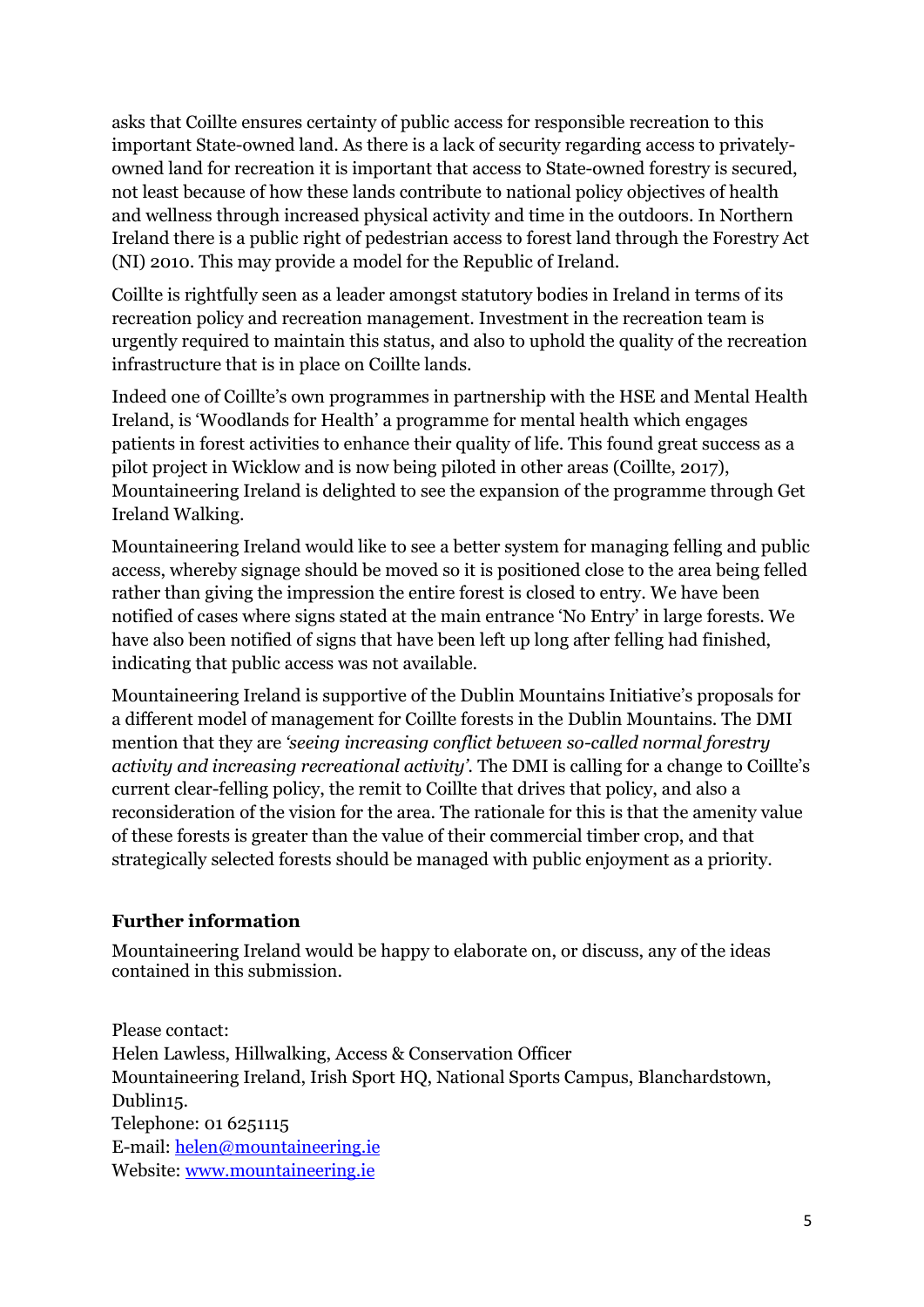asks that Coillte ensures certainty of public access for responsible recreation to this important State-owned land. As there is a lack of security regarding access to privatelyowned land for recreation it is important that access to State-owned forestry is secured, not least because of how these lands contribute to national policy objectives of health and wellness through increased physical activity and time in the outdoors. In Northern Ireland there is a public right of pedestrian access to forest land through the Forestry Act (NI) 2010. This may provide a model for the Republic of Ireland.

Coillte is rightfully seen as a leader amongst statutory bodies in Ireland in terms of its recreation policy and recreation management. Investment in the recreation team is urgently required to maintain this status, and also to uphold the quality of the recreation infrastructure that is in place on Coillte lands.

Indeed one of Coillte's own programmes in partnership with the HSE and Mental Health Ireland, is 'Woodlands for Health' a programme for mental health which engages patients in forest activities to enhance their quality of life. This found great success as a pilot project in Wicklow and is now being piloted in other areas (Coillte, 2017), Mountaineering Ireland is delighted to see the expansion of the programme through Get Ireland Walking.

Mountaineering Ireland would like to see a better system for managing felling and public access, whereby signage should be moved so it is positioned close to the area being felled rather than giving the impression the entire forest is closed to entry. We have been notified of cases where signs stated at the main entrance 'No Entry' in large forests. We have also been notified of signs that have been left up long after felling had finished, indicating that public access was not available.

Mountaineering Ireland is supportive of the Dublin Mountains Initiative's proposals for a different model of management for Coillte forests in the Dublin Mountains. The DMI mention that they are *'seeing increasing conflict between so-called normal forestry activity and increasing recreational activity'.* The DMI is calling for a change to Coillte's current clear-felling policy, the remit to Coillte that drives that policy, and also a reconsideration of the vision for the area. The rationale for this is that the amenity value of these forests is greater than the value of their commercial timber crop, and that strategically selected forests should be managed with public enjoyment as a priority.

### **Further information**

Mountaineering Ireland would be happy to elaborate on, or discuss, any of the ideas contained in this submission.

Please contact: Helen Lawless, Hillwalking, Access & Conservation Officer Mountaineering Ireland, Irish Sport HQ, National Sports Campus, Blanchardstown, Dublin15. Telephone: 01 6251115 E-mail: [helen@mountaineering.ie](mailto:helen@mountaineering.ie) Website: [www.mountaineering.ie](http://www.mountaineering.ie/)